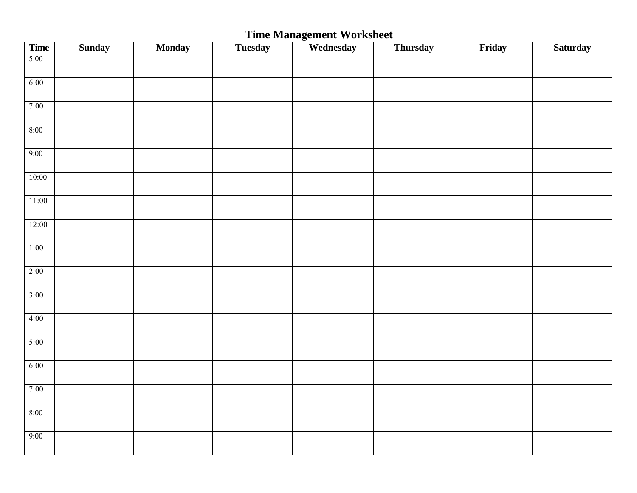# **Time Management Worksheet**

| <b>Time</b> | <b>Sunday</b> | Monday | <b>Tuesday</b> | Wednesday | <b>Thursday</b> | Friday | Saturday |
|-------------|---------------|--------|----------------|-----------|-----------------|--------|----------|
| 5:00        |               |        |                |           |                 |        |          |
|             |               |        |                |           |                 |        |          |
| 6:00        |               |        |                |           |                 |        |          |
|             |               |        |                |           |                 |        |          |
| 7:00        |               |        |                |           |                 |        |          |
|             |               |        |                |           |                 |        |          |
| 8:00        |               |        |                |           |                 |        |          |
|             |               |        |                |           |                 |        |          |
| 9:00        |               |        |                |           |                 |        |          |
| 10:00       |               |        |                |           |                 |        |          |
|             |               |        |                |           |                 |        |          |
| 11:00       |               |        |                |           |                 |        |          |
|             |               |        |                |           |                 |        |          |
| 12:00       |               |        |                |           |                 |        |          |
|             |               |        |                |           |                 |        |          |
| 1:00        |               |        |                |           |                 |        |          |
|             |               |        |                |           |                 |        |          |
| 2:00        |               |        |                |           |                 |        |          |
|             |               |        |                |           |                 |        |          |
| 3:00        |               |        |                |           |                 |        |          |
|             |               |        |                |           |                 |        |          |
| 4:00        |               |        |                |           |                 |        |          |
|             |               |        |                |           |                 |        |          |
| 5:00        |               |        |                |           |                 |        |          |
| 6:00        |               |        |                |           |                 |        |          |
|             |               |        |                |           |                 |        |          |
| 7:00        |               |        |                |           |                 |        |          |
|             |               |        |                |           |                 |        |          |
| 8:00        |               |        |                |           |                 |        |          |
|             |               |        |                |           |                 |        |          |
| 9:00        |               |        |                |           |                 |        |          |
|             |               |        |                |           |                 |        |          |